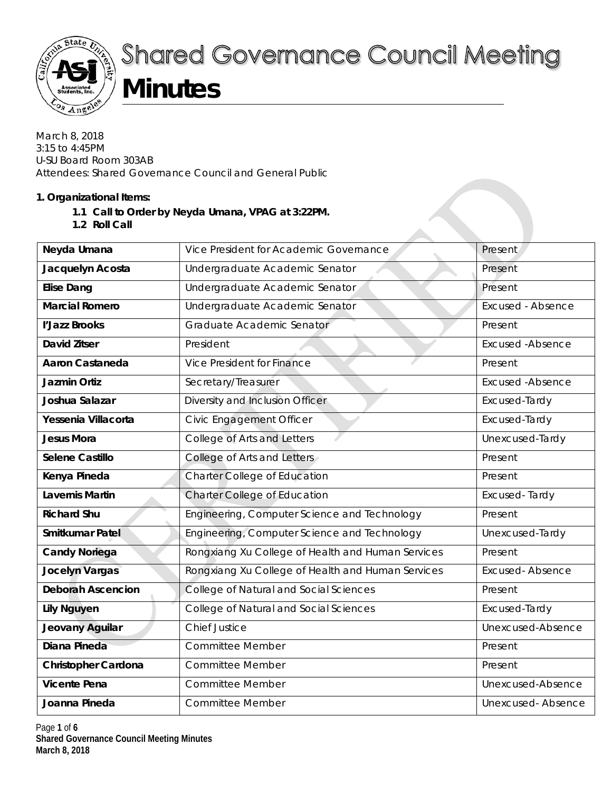

# **Shared Governance Council Meeting**

# **Minutes**

March 8, 2018 3:15 to 4:45PM U-SU Board Room 303AB Attendees: Shared Governance Council and General Public

# **1. Organizational Items:**

- **1.1 Call to Order by Neyda Umana, VPAG at 3:22PM.**
- **1.2 Roll Call**

| Neyda Umana                | Vice President for Academic Governance            | Present                  |
|----------------------------|---------------------------------------------------|--------------------------|
| Jacquelyn Acosta           | Undergraduate Academic Senator                    | Present                  |
| <b>Elise Dang</b>          | Undergraduate Academic Senator                    | Present                  |
| <b>Marcial Romero</b>      | Undergraduate Academic Senator                    | <b>Excused - Absence</b> |
| l'Jazz Brooks              | Graduate Academic Senator                         | Present                  |
| <b>David Zitser</b>        | President                                         | <b>Excused -Absence</b>  |
| <b>Aaron Castaneda</b>     | Vice President for Finance                        | Present                  |
| <b>Jazmin Ortiz</b>        | Secretary/Treasurer                               | <b>Excused -Absence</b>  |
| Joshua Salazar             | Diversity and Inclusion Officer                   | Excused-Tardy            |
| Yessenia Villacorta        | Civic Engagement Officer                          | Excused-Tardy            |
| <b>Jesus Mora</b>          | College of Arts and Letters                       | Unexcused-Tardy          |
| Selene Castillo            | College of Arts and Letters                       | Present                  |
| Kenya Pineda               | <b>Charter College of Education</b>               | Present                  |
| <b>Lavernis Martin</b>     | Charter College of Education                      | Excused-Tardy            |
| <b>Richard Shu</b>         | Engineering, Computer Science and Technology      | Present                  |
| Smitkumar Patel            | Engineering, Computer Science and Technology      | Unexcused-Tardy          |
| <b>Candy Noriega</b>       | Rongxiang Xu College of Health and Human Services | Present                  |
| <b>Jocelyn Vargas</b>      | Rongxiang Xu College of Health and Human Services | <b>Excused-Absence</b>   |
| <b>Deborah Ascencion</b>   | College of Natural and Social Sciences            | Present                  |
| <b>Lily Nguyen</b>         | College of Natural and Social Sciences            | Excused-Tardy            |
| Jeovany Aguilar            | <b>Chief Justice</b>                              | Unexcused-Absence        |
| Diana Pineda               | <b>Committee Member</b>                           | Present                  |
| <b>Christopher Cardona</b> | <b>Committee Member</b>                           | Present                  |
| <b>Vicente Pena</b>        | <b>Committee Member</b>                           | Unexcused-Absence        |
| Joanna Pineda              | <b>Committee Member</b>                           | <b>Unexcused-Absence</b> |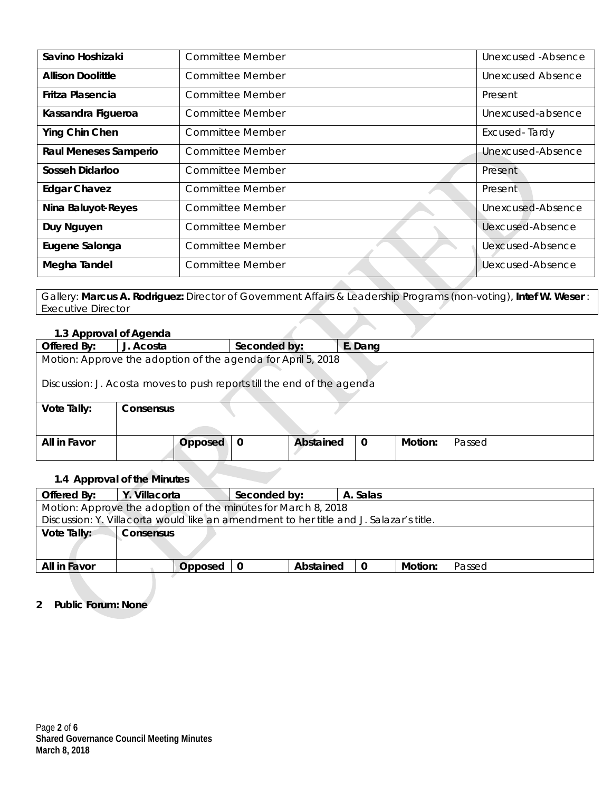| Savino Hoshizaki             | Committee Member        | Unexcused - Absence     |
|------------------------------|-------------------------|-------------------------|
| <b>Allison Doolittle</b>     | Committee Member        | Unexcused Absence       |
| Fritza Plasencia             | Committee Member        | Present                 |
| Kassandra Figueroa           | Committee Member        | Unexcused-absence       |
| Ying Chin Chen               | Committee Member        | Excused-Tardy           |
| <b>Raul Meneses Samperio</b> | <b>Committee Member</b> | Unexcused-Absence       |
| Sosseh Didarloo              | Committee Member        | Present                 |
| <b>Edgar Chavez</b>          | <b>Committee Member</b> | Present                 |
| Nina Baluyot-Reyes           | <b>Committee Member</b> | Unexcused-Absence       |
| Duy Nguyen                   | <b>Committee Member</b> | Uexcused-Absence        |
| Eugene Salonga               | Committee Member        | <b>Uexcused-Absence</b> |
| Megha Tandel                 | Committee Member        | Uexcused-Absence        |

Gallery: **Marcus A. Rodriguez:** Director of Government Affairs & Leadership Programs (non-voting), **Intef W. Weser** : Executive Director

#### **1.3 Approval of Agenda**

| Offered By:                                                            | J. Acosta | Seconded by: |                  | E. Dang     |         |        |  |  |  |
|------------------------------------------------------------------------|-----------|--------------|------------------|-------------|---------|--------|--|--|--|
| Motion: Approve the adoption of the agenda for April 5, 2018           |           |              |                  |             |         |        |  |  |  |
| Discussion: J. Acosta moves to push reports till the end of the agenda |           |              |                  |             |         |        |  |  |  |
| Vote Tally:                                                            | Consensus |              |                  |             |         |        |  |  |  |
|                                                                        |           |              |                  |             |         |        |  |  |  |
| All in Favor                                                           | Opposed   | 0            | <b>Abstained</b> | $\mathbf 0$ | Motion: | Passed |  |  |  |
|                                                                        |           |              |                  |             |         |        |  |  |  |

# **1.4 Approval of the Minutes**

| Offered By:                                                                            | Y. Villacorta                                                 |         | Seconded by: |           | A. Salas    |         |        |  |  |  |
|----------------------------------------------------------------------------------------|---------------------------------------------------------------|---------|--------------|-----------|-------------|---------|--------|--|--|--|
|                                                                                        | Motion: Approve the adoption of the minutes for March 8, 2018 |         |              |           |             |         |        |  |  |  |
| Discussion: Y. Villacorta would like an amendment to her title and J. Salazar's title. |                                                               |         |              |           |             |         |        |  |  |  |
| Vote Tally:                                                                            | <b>Consensus</b>                                              |         |              |           |             |         |        |  |  |  |
|                                                                                        |                                                               |         |              |           |             |         |        |  |  |  |
| All in Favor                                                                           |                                                               | Opposed |              | Abstained | $\mathbf 0$ | Motion: | Passed |  |  |  |
|                                                                                        |                                                               |         |              |           |             |         |        |  |  |  |

## **2 Public Forum: None**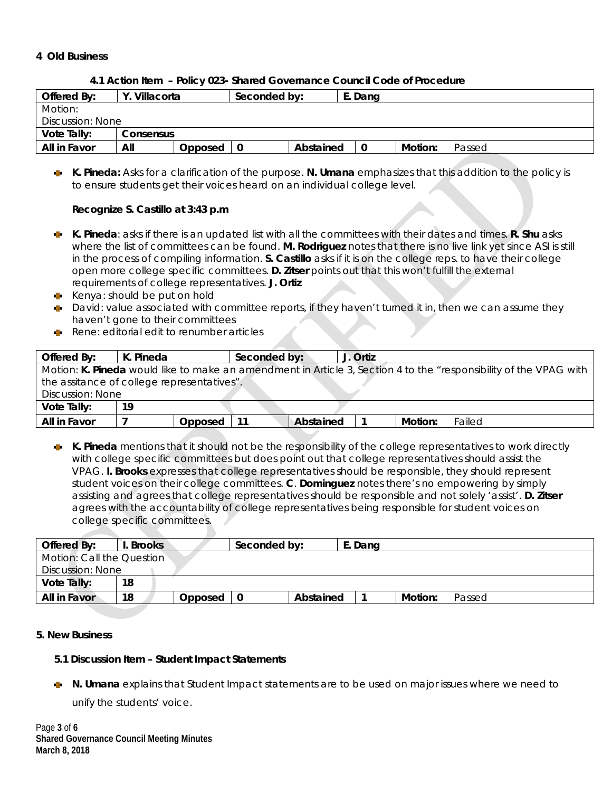#### **4 Old Business**

| 4.1 Action Item - Policy 023- Shared Governance Council Code of Procedure |
|---------------------------------------------------------------------------|
|---------------------------------------------------------------------------|

| Offered By:      | Villacorta |         | Seconded by: |           | E. Dang |         |        |
|------------------|------------|---------|--------------|-----------|---------|---------|--------|
| Motion:          |            |         |              |           |         |         |        |
| Discussion: None |            |         |              |           |         |         |        |
| Vote Tally:      | Consensus  |         |              |           |         |         |        |
| All in Favor     | All        | Opposed |              | Abstained |         | Motion: | Passed |

**K. Pineda:** Asks for a clarification of the purpose. **N. Umana** emphasizes that this addition to the policy is to ensure students get their voices heard on an individual college level.

#### **Recognize S. Castillo at 3:43 p.m**

- **K. Pineda**: asks if there is an updated list with all the committees with their dates and times. **R. Shu** asks where the list of committees can be found. **M. Rodriguez** notes that there is no live link yet since ASI is still in the process of compiling information. **S. Castillo** asks if it is on the college reps. to have their college open more college specific committees. **D. Zitser** points out that this won't fulfill the external requirements of college representatives. **J. Ortiz**
- Kenya: should be put on hold
- David: value associated with committee reports, if they haven't turned it in, then we can assume they haven't gone to their committees
- Rene: editorial edit to renumber articles

| Offered By:                                                                                                       | K. Pineda |         | Seconded by: |           | J. Ortiz |         |        |  |  |
|-------------------------------------------------------------------------------------------------------------------|-----------|---------|--------------|-----------|----------|---------|--------|--|--|
| Motion: K. Pineda would like to make an amendment in Article 3, Section 4 to the "responsibility of the VPAG with |           |         |              |           |          |         |        |  |  |
| the assitance of college representatives".                                                                        |           |         |              |           |          |         |        |  |  |
| Discussion: None                                                                                                  |           |         |              |           |          |         |        |  |  |
| Vote Tally:                                                                                                       | 19        |         |              |           |          |         |        |  |  |
| All in Favor                                                                                                      |           | Opposed |              | Abstained |          | Motion: | Failed |  |  |

**K. Pineda** mentions that it should not be the responsibility of the college representatives to work directly with college specific committees but does point out that college representatives should assist the VPAG. **I. Brooks** expresses that college representatives should be responsible, they should represent student voices on their college committees. **C**. **Dominguez** notes there's no empowering by simply assisting and agrees that college representatives should be responsible and not solely 'assist'. **D. Zitser**  agrees with the accountability of college representatives being responsible for student voices on college specific committees.

| Offered By:               | . Brooks |         | Seconded by: |           | E. Dang |         |        |  |
|---------------------------|----------|---------|--------------|-----------|---------|---------|--------|--|
| Motion: Call the Question |          |         |              |           |         |         |        |  |
| Discussion: None          |          |         |              |           |         |         |        |  |
| Vote Tally:               | 18       |         |              |           |         |         |        |  |
| All in Favor              | 18       | Opposed | 0            | Abstained |         | Motion: | Passed |  |

#### **5. New Business**

#### **5.1 Discussion Item – Student Impact Statements**

**N. Umana** explains that Student Impact statements are to be used on major issues where we need to unify the students' voice.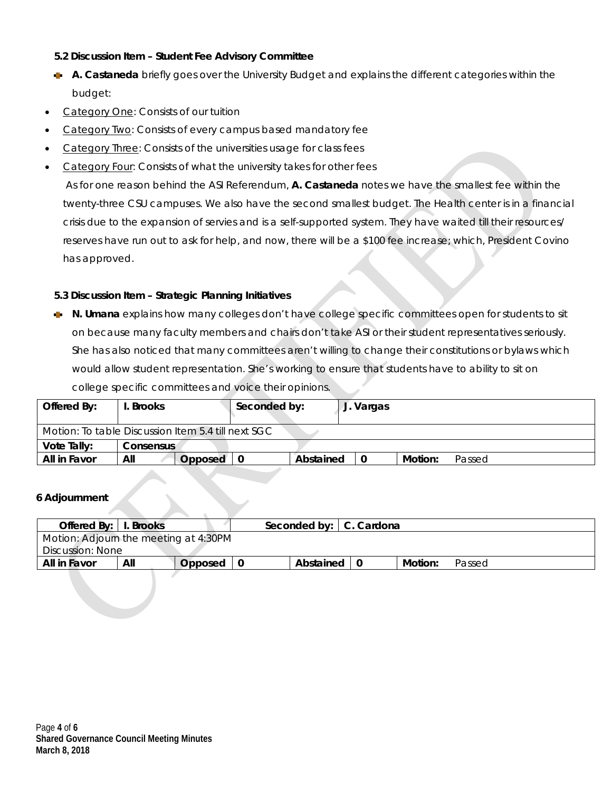## **5.2 Discussion Item – Student Fee Advisory Committee**

- **A. Castaneda** briefly goes over the University Budget and explains the different categories within the budget:
- Category One: Consists of our tuition
- Category Two: Consists of every campus based mandatory fee
- Category Three: Consists of the universities usage for class fees
- Category Four: Consists of what the university takes for other fees

As for one reason behind the ASI Referendum, **A. Castaneda** notes we have the smallest fee within the twenty-three CSU campuses. We also have the second smallest budget. The Health center is in a financial crisis due to the expansion of servies and is a self-supported system. They have waited till their resources/ reserves have run out to ask for help, and now, there will be a \$100 fee increase; which, President Covino has approved.

#### **5.3 Discussion Item – Strategic Planning Initiatives**

**N. Umana** explains how many colleges don't have college specific committees open for students to sit on because many faculty members and chairs don't take ASI or their student representatives seriously. She has also noticed that many committees aren't willing to change their constitutions or bylaws which would allow student representation. She's working to ensure that students have to ability to sit on college specific committees and voice their opinions.

| Offered By:                                        | . Brooks         |         | Seconded by: | J. Vargas |          |         |        |  |  |
|----------------------------------------------------|------------------|---------|--------------|-----------|----------|---------|--------|--|--|
| Motion: To table Discussion Item 5.4 till next SGC |                  |         |              |           |          |         |        |  |  |
| Vote Tally:                                        | <b>Consensus</b> |         |              |           |          |         |        |  |  |
| All in Favor                                       | All              | Opposed |              | Abstained | $\bf{0}$ | Motion: | Passed |  |  |

#### **6 Adjournment**

| Offered By:   I. Brooks               |     |         |      | Seconded by:   C. Cardona |  |         |        |  |  |
|---------------------------------------|-----|---------|------|---------------------------|--|---------|--------|--|--|
| Motion: Adjourn the meeting at 4:30PM |     |         |      |                           |  |         |        |  |  |
| Discussion: None                      |     |         |      |                           |  |         |        |  |  |
| All in Favor                          | All | Opposed | - 0- | Abstained I               |  | Motion: | Passed |  |  |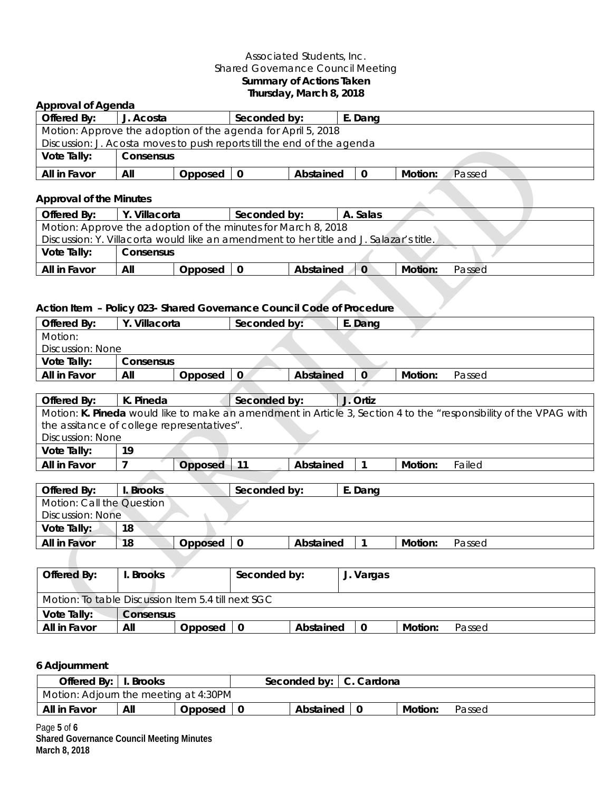### Associated Students, Inc. Shared Governance Council Meeting **Summary of Actions Taken Thursday, March 8, 2018**

| <b>Approval of Agenda</b>                                                              |                     |         |              |           |              |                |                                                                                                                   |
|----------------------------------------------------------------------------------------|---------------------|---------|--------------|-----------|--------------|----------------|-------------------------------------------------------------------------------------------------------------------|
| Offered By:                                                                            | J. Acosta           |         | Seconded by: |           | E. Dang      |                |                                                                                                                   |
| Motion: Approve the adoption of the agenda for April 5, 2018                           |                     |         |              |           |              |                |                                                                                                                   |
| Discussion: J. Acosta moves to push reports till the end of the agenda                 |                     |         |              |           |              |                |                                                                                                                   |
| Vote Tally:                                                                            | Consensus           |         |              |           |              |                |                                                                                                                   |
| All in Favor                                                                           | All                 | Opposed | $\mathbf 0$  | Abstained | $\mathbf 0$  | Motion:        | Passed                                                                                                            |
| <b>Approval of the Minutes</b>                                                         |                     |         |              |           |              |                |                                                                                                                   |
| Offered By:                                                                            | Y. Villacorta       |         | Seconded by: |           | A. Salas     |                |                                                                                                                   |
| Motion: Approve the adoption of the minutes for March 8, 2018                          |                     |         |              |           |              |                |                                                                                                                   |
| Discussion: Y. Villacorta would like an amendment to her title and J. Salazar's title. |                     |         |              |           |              |                |                                                                                                                   |
| Vote Tally:                                                                            | Consensus           |         |              |           |              |                |                                                                                                                   |
| All in Favor                                                                           | All                 | Opposed | $\mathbf 0$  | Abstained | $\mathbf 0$  | <b>Motion:</b> | Passed                                                                                                            |
|                                                                                        |                     |         |              |           |              |                |                                                                                                                   |
| Action Item - Policy 023- Shared Governance Council Code of Procedure                  |                     |         |              |           |              |                |                                                                                                                   |
| Offered By:                                                                            | Y. Villacorta       |         | Seconded by: |           | E. Dang      |                |                                                                                                                   |
| Motion:                                                                                |                     |         |              |           |              |                |                                                                                                                   |
| Discussion: None                                                                       |                     |         |              |           |              |                |                                                                                                                   |
| Vote Tally:                                                                            | Consensus           |         |              |           |              |                |                                                                                                                   |
| All in Favor                                                                           | All                 | Opposed | $\mathbf 0$  | Abstained | 0            | Motion:        | Passed                                                                                                            |
|                                                                                        |                     |         |              |           |              |                |                                                                                                                   |
| Offered By:                                                                            | K. Pineda           |         | Seconded by: |           | J. Ortiz     |                |                                                                                                                   |
|                                                                                        |                     |         |              |           |              |                | Motion: K. Pineda would like to make an amendment in Article 3, Section 4 to the "responsibility of the VPAG with |
| the assitance of college representatives".                                             |                     |         |              |           |              |                |                                                                                                                   |
| Discussion: None                                                                       |                     |         |              |           |              |                |                                                                                                                   |
| Vote Tally:                                                                            | 19                  |         |              |           |              |                |                                                                                                                   |
| All in Favor                                                                           | $\overline{7}$      | Opposed | $-11$        | Abstained | 1            | Motion:        | Failed                                                                                                            |
|                                                                                        |                     |         |              |           |              |                |                                                                                                                   |
| Offered By:                                                                            | I. Brooks           |         | Seconded by: |           | E. Dang      |                |                                                                                                                   |
| Motion: Call the Question                                                              |                     |         |              |           |              |                |                                                                                                                   |
| Discussion: None                                                                       |                     |         |              |           |              |                |                                                                                                                   |
| Vote Tally:                                                                            | 18                  |         |              |           |              |                |                                                                                                                   |
| All in Favor                                                                           | 18                  | Opposed | $\mathbf 0$  | Abstained | $\mathbf{1}$ | Motion:        | Passed                                                                                                            |
|                                                                                        |                     |         |              |           |              |                |                                                                                                                   |
| Offered Ry:                                                                            | <b>Rrooks</b><br>Ι. |         | Seconded by: |           | I Vargas     |                |                                                                                                                   |

| Offered By:                                        | <b>Brooks</b> | Seconded by: | J. Vargas |           |   |         |        |  |  |  |
|----------------------------------------------------|---------------|--------------|-----------|-----------|---|---------|--------|--|--|--|
| Motion: To table Discussion Item 5.4 till next SGC |               |              |           |           |   |         |        |  |  |  |
| Vote Tally:                                        | Consensus     |              |           |           |   |         |        |  |  |  |
| All in Favor                                       | All           | Opposed      | -0        | Abstained | 0 | Motion: | Passed |  |  |  |

# **6 Adjournment**

| Offered By:   I. Brooks               |     |         | Seconded by:   C. Cardona |         |        |
|---------------------------------------|-----|---------|---------------------------|---------|--------|
| Motion: Adjourn the meeting at 4:30PM |     |         |                           |         |        |
| All in Favor                          | All | Opposed | Abstained   0             | Motion: | Passed |

Page **5** of **6 Shared Governance Council Meeting Minutes March 8, 2018**